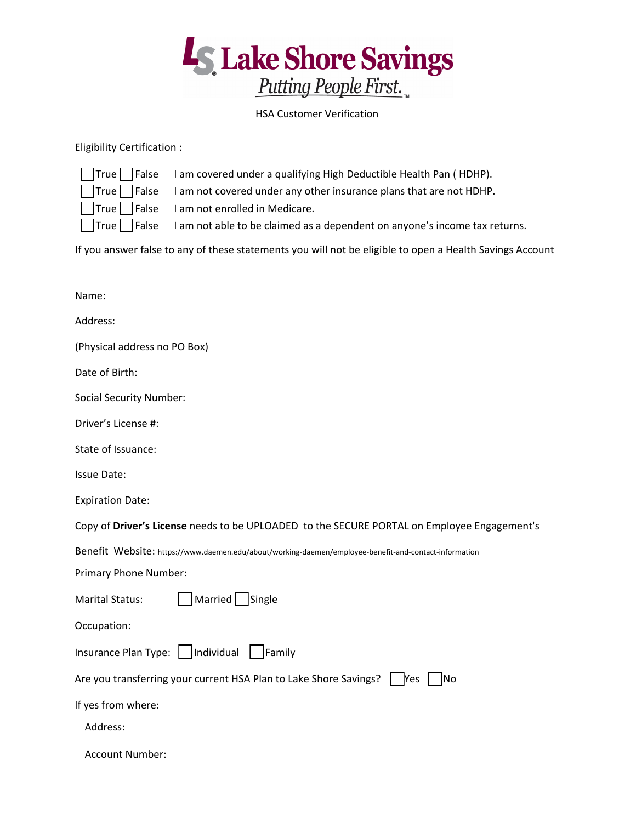

## HSA Customer Verification

## Eligibility Certification :

| True F False                                |
|---------------------------------------------|
| $\mathsf{True} \left\lceil \right.$   False |
| $True$ False                                |
| True   False                                |

I am covered under a qualifying High Deductible Health Pan (HDHP).

I am not covered under any other insurance plans that are not HDHP.

I am not enrolled in Medicare.

I am not able to be claimed as a dependent on anyone's income tax returns.

If you answer false to any of these statements you will not be eligible to open a Health Savings Account

| Name:                                                                                                 |
|-------------------------------------------------------------------------------------------------------|
| Address:                                                                                              |
| (Physical address no PO Box)                                                                          |
| Date of Birth:                                                                                        |
| <b>Social Security Number:</b>                                                                        |
| Driver's License #:                                                                                   |
| State of Issuance:                                                                                    |
| <b>Issue Date:</b>                                                                                    |
| <b>Expiration Date:</b>                                                                               |
| Copy of Driver's License needs to be UPLOADED to the SECURE PORTAL on Employee Engagement's           |
| Benefit Website: https://www.daemen.edu/about/working-daemen/employee-benefit-and-contact-information |
| Primary Phone Number:                                                                                 |
| Married Single<br><b>Marital Status:</b>                                                              |
| Occupation:                                                                                           |
|                                                                                                       |
| Are you transferring your current HSA Plan to Lake Shore Savings?   Yes<br><b>INo</b>                 |
| If yes from where:                                                                                    |
| Address:                                                                                              |
| <b>Account Number:</b>                                                                                |